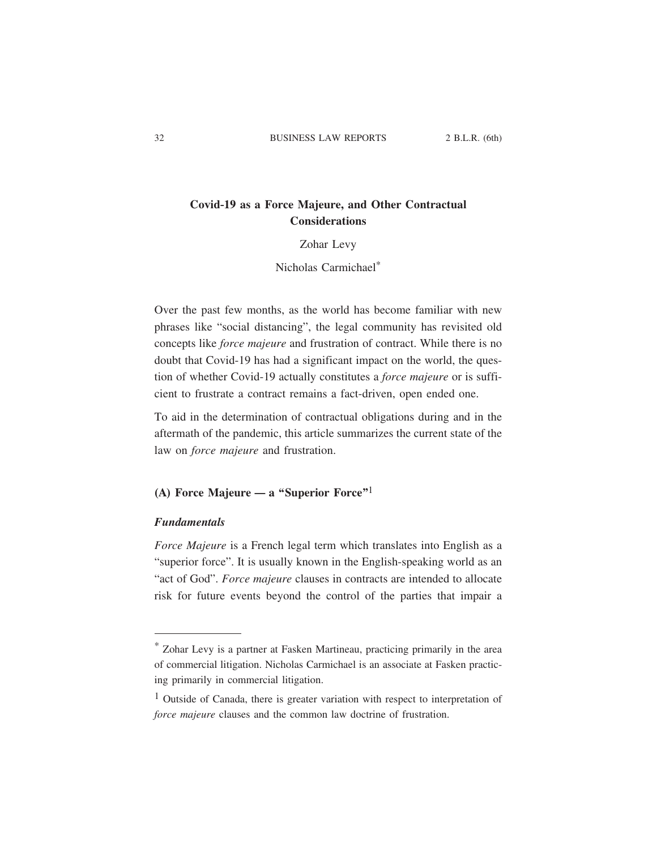# **Covid-19 as a Force Majeure, and Other Contractual Considerations**

### Zohar Levy

# Nicholas Carmichael\*

Over the past few months, as the world has become familiar with new phrases like "social distancing", the legal community has revisited old concepts like *force majeure* and frustration of contract. While there is no doubt that Covid-19 has had a significant impact on the world, the question of whether Covid-19 actually constitutes a *force majeure* or is sufficient to frustrate a contract remains a fact-driven, open ended one.

To aid in the determination of contractual obligations during and in the aftermath of the pandemic, this article summarizes the current state of the law on *force majeure* and frustration.

# **(A) Force Majeure — a "Superior Force"**1

### *Fundamentals*

*Force Majeure* is a French legal term which translates into English as a "superior force". It is usually known in the English-speaking world as an "act of God". *Force majeure* clauses in contracts are intended to allocate risk for future events beyond the control of the parties that impair a

<sup>\*</sup> Zohar Levy is a partner at Fasken Martineau, practicing primarily in the area of commercial litigation. Nicholas Carmichael is an associate at Fasken practicing primarily in commercial litigation.

<sup>&</sup>lt;sup>1</sup> Outside of Canada, there is greater variation with respect to interpretation of *force majeure* clauses and the common law doctrine of frustration.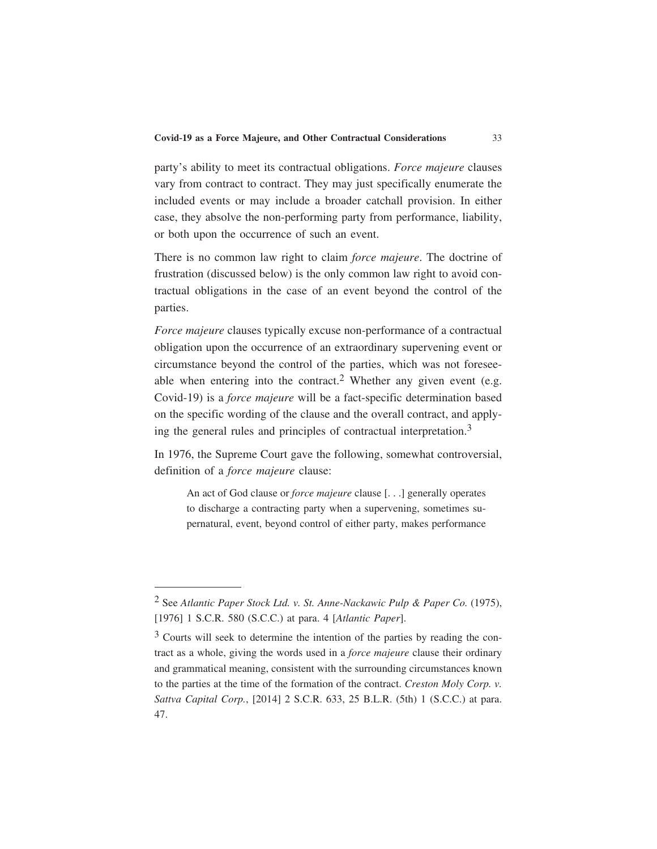party's ability to meet its contractual obligations. *Force majeure* clauses vary from contract to contract. They may just specifically enumerate the included events or may include a broader catchall provision. In either case, they absolve the non-performing party from performance, liability, or both upon the occurrence of such an event.

There is no common law right to claim *force majeure*. The doctrine of frustration (discussed below) is the only common law right to avoid contractual obligations in the case of an event beyond the control of the parties.

*Force majeure* clauses typically excuse non-performance of a contractual obligation upon the occurrence of an extraordinary supervening event or circumstance beyond the control of the parties, which was not foreseeable when entering into the contract.<sup>2</sup> Whether any given event (e.g. Covid-19) is a *force majeure* will be a fact-specific determination based on the specific wording of the clause and the overall contract, and applying the general rules and principles of contractual interpretation.3

In 1976, the Supreme Court gave the following, somewhat controversial, definition of a *force majeure* clause:

An act of God clause or *force majeure* clause [. . .] generally operates to discharge a contracting party when a supervening, sometimes supernatural, event, beyond control of either party, makes performance

<sup>2</sup> See *Atlantic Paper Stock Ltd. v. St. Anne-Nackawic Pulp & Paper Co.* (1975), [1976] 1 S.C.R. 580 (S.C.C.) at para. 4 [*Atlantic Paper*].

 $3$  Courts will seek to determine the intention of the parties by reading the contract as a whole, giving the words used in a *force majeure* clause their ordinary and grammatical meaning, consistent with the surrounding circumstances known to the parties at the time of the formation of the contract. *Creston Moly Corp. v. Sattva Capital Corp.*, [2014] 2 S.C.R. 633, 25 B.L.R. (5th) 1 (S.C.C.) at para. 47.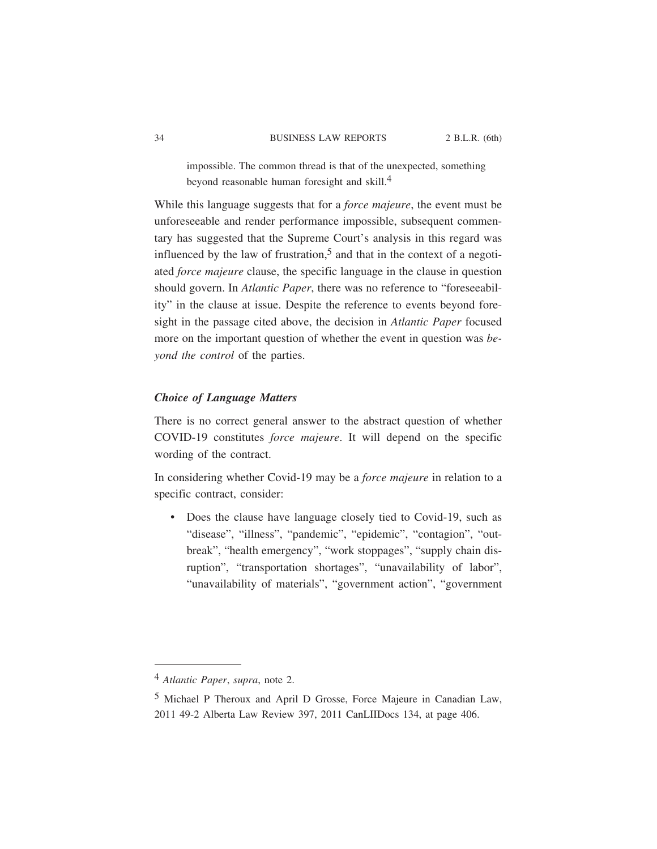impossible. The common thread is that of the unexpected, something beyond reasonable human foresight and skill.4

While this language suggests that for a *force majeure*, the event must be unforeseeable and render performance impossible, subsequent commentary has suggested that the Supreme Court's analysis in this regard was influenced by the law of frustration,<sup>5</sup> and that in the context of a negotiated *force majeure* clause, the specific language in the clause in question should govern. In *Atlantic Paper*, there was no reference to "foreseeability" in the clause at issue. Despite the reference to events beyond foresight in the passage cited above, the decision in *Atlantic Paper* focused more on the important question of whether the event in question was *beyond the control* of the parties.

## *Choice of Language Matters*

There is no correct general answer to the abstract question of whether COVID-19 constitutes *force majeure*. It will depend on the specific wording of the contract.

In considering whether Covid-19 may be a *force majeure* in relation to a specific contract, consider:

• Does the clause have language closely tied to Covid-19, such as "disease", "illness", "pandemic", "epidemic", "contagion", "outbreak", "health emergency", "work stoppages", "supply chain disruption", "transportation shortages", "unavailability of labor", "unavailability of materials", "government action", "government

<sup>4</sup> *Atlantic Paper*, *supra*, note 2.

<sup>5</sup> Michael P Theroux and April D Grosse, Force Majeure in Canadian Law, 2011 49-2 Alberta Law Review 397, 2011 CanLIIDocs 134, at page 406.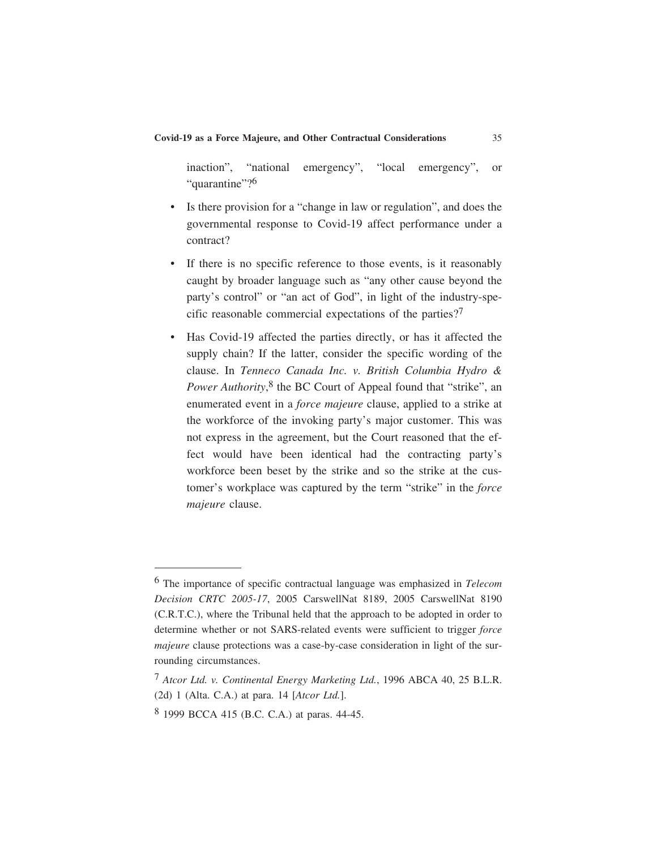inaction", "national emergency", "local emergency", or "quarantine"?<sup>6</sup>

- Is there provision for a "change in law or regulation", and does the governmental response to Covid-19 affect performance under a contract?
- If there is no specific reference to those events, is it reasonably caught by broader language such as "any other cause beyond the party's control" or "an act of God", in light of the industry-specific reasonable commercial expectations of the parties?7
- Has Covid-19 affected the parties directly, or has it affected the supply chain? If the latter, consider the specific wording of the clause. In *Tenneco Canada Inc. v. British Columbia Hydro & Power Authority*, 8 the BC Court of Appeal found that "strike", an enumerated event in a *force majeure* clause, applied to a strike at the workforce of the invoking party's major customer. This was not express in the agreement, but the Court reasoned that the effect would have been identical had the contracting party's workforce been beset by the strike and so the strike at the customer's workplace was captured by the term "strike" in the *force majeure* clause.

<sup>6</sup> The importance of specific contractual language was emphasized in *Telecom Decision CRTC 2005-17*, 2005 CarswellNat 8189, 2005 CarswellNat 8190 (C.R.T.C.), where the Tribunal held that the approach to be adopted in order to determine whether or not SARS-related events were sufficient to trigger *force majeure* clause protections was a case-by-case consideration in light of the surrounding circumstances.

<sup>7</sup> *Atcor Ltd. v. Continental Energy Marketing Ltd.*, 1996 ABCA 40, 25 B.L.R. (2d) 1 (Alta. C.A.) at para. 14 [*Atcor Ltd.*].

<sup>8</sup> 1999 BCCA 415 (B.C. C.A.) at paras. 44-45.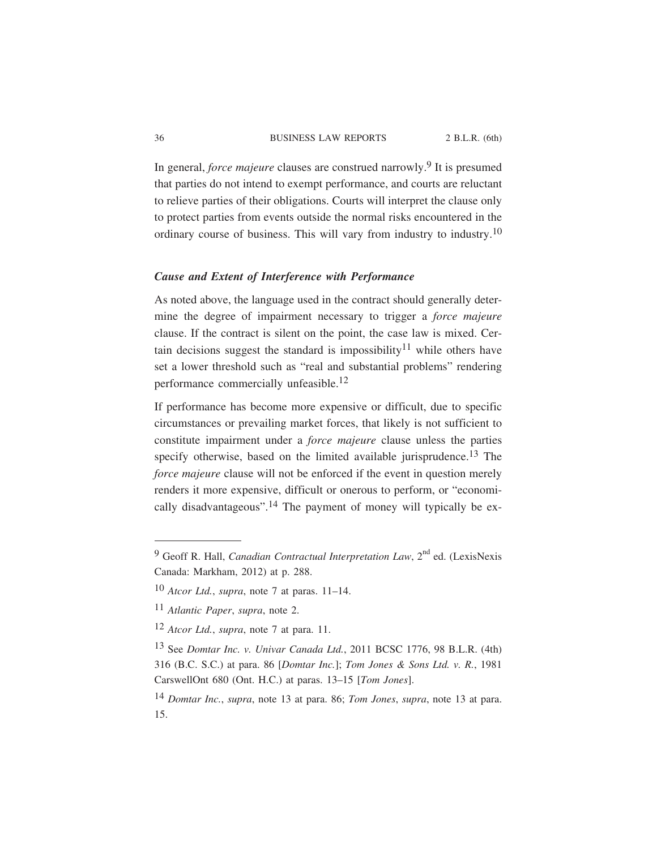In general, *force majeure* clauses are construed narrowly.9 It is presumed that parties do not intend to exempt performance, and courts are reluctant to relieve parties of their obligations. Courts will interpret the clause only to protect parties from events outside the normal risks encountered in the ordinary course of business. This will vary from industry to industry.<sup>10</sup>

# *Cause and Extent of Interference with Performance*

As noted above, the language used in the contract should generally determine the degree of impairment necessary to trigger a *force majeure* clause. If the contract is silent on the point, the case law is mixed. Certain decisions suggest the standard is impossibility<sup>11</sup> while others have set a lower threshold such as "real and substantial problems" rendering performance commercially unfeasible.<sup>12</sup>

If performance has become more expensive or difficult, due to specific circumstances or prevailing market forces, that likely is not sufficient to constitute impairment under a *force majeure* clause unless the parties specify otherwise, based on the limited available jurisprudence.<sup>13</sup> The *force majeure* clause will not be enforced if the event in question merely renders it more expensive, difficult or onerous to perform, or "economically disadvantageous".14 The payment of money will typically be ex-

<sup>&</sup>lt;sup>9</sup> Geoff R. Hall, *Canadian Contractual Interpretation Law*, 2<sup>nd</sup> ed. (LexisNexis Canada: Markham, 2012) at p. 288.

<sup>10</sup> *Atcor Ltd.*, *supra*, note 7 at paras. 11–14.

<sup>11</sup> *Atlantic Paper*, *supra*, note 2.

<sup>12</sup> *Atcor Ltd.*, *supra*, note 7 at para. 11.

<sup>13</sup> See *Domtar Inc. v. Univar Canada Ltd.*, 2011 BCSC 1776, 98 B.L.R. (4th) 316 (B.C. S.C.) at para. 86 [*Domtar Inc.*]; *Tom Jones & Sons Ltd. v. R.*, 1981 CarswellOnt 680 (Ont. H.C.) at paras. 13–15 [*Tom Jones*].

<sup>14</sup> *Domtar Inc.*, *supra*, note 13 at para. 86; *Tom Jones*, *supra*, note 13 at para. 15.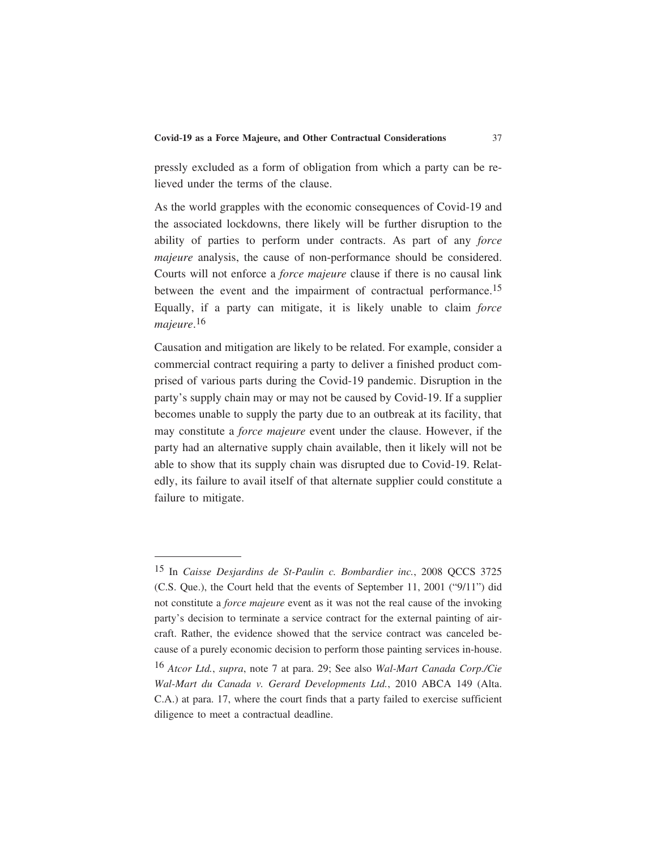pressly excluded as a form of obligation from which a party can be relieved under the terms of the clause.

As the world grapples with the economic consequences of Covid-19 and the associated lockdowns, there likely will be further disruption to the ability of parties to perform under contracts. As part of any *force majeure* analysis, the cause of non-performance should be considered. Courts will not enforce a *force majeure* clause if there is no causal link between the event and the impairment of contractual performance.<sup>15</sup> Equally, if a party can mitigate, it is likely unable to claim *force majeure*. 16

Causation and mitigation are likely to be related. For example, consider a commercial contract requiring a party to deliver a finished product comprised of various parts during the Covid-19 pandemic. Disruption in the party's supply chain may or may not be caused by Covid-19. If a supplier becomes unable to supply the party due to an outbreak at its facility, that may constitute a *force majeure* event under the clause. However, if the party had an alternative supply chain available, then it likely will not be able to show that its supply chain was disrupted due to Covid-19. Relatedly, its failure to avail itself of that alternate supplier could constitute a failure to mitigate.

<sup>15</sup> In *Caisse Desjardins de St-Paulin c. Bombardier inc.*, 2008 QCCS 3725 (C.S. Que.), the Court held that the events of September 11, 2001 ("9/11") did not constitute a *force majeure* event as it was not the real cause of the invoking party's decision to terminate a service contract for the external painting of aircraft. Rather, the evidence showed that the service contract was canceled because of a purely economic decision to perform those painting services in-house.

<sup>16</sup> *Atcor Ltd.*, *supra*, note 7 at para. 29; See also *Wal-Mart Canada Corp./Cie Wal-Mart du Canada v. Gerard Developments Ltd.*, 2010 ABCA 149 (Alta. C.A.) at para. 17, where the court finds that a party failed to exercise sufficient diligence to meet a contractual deadline.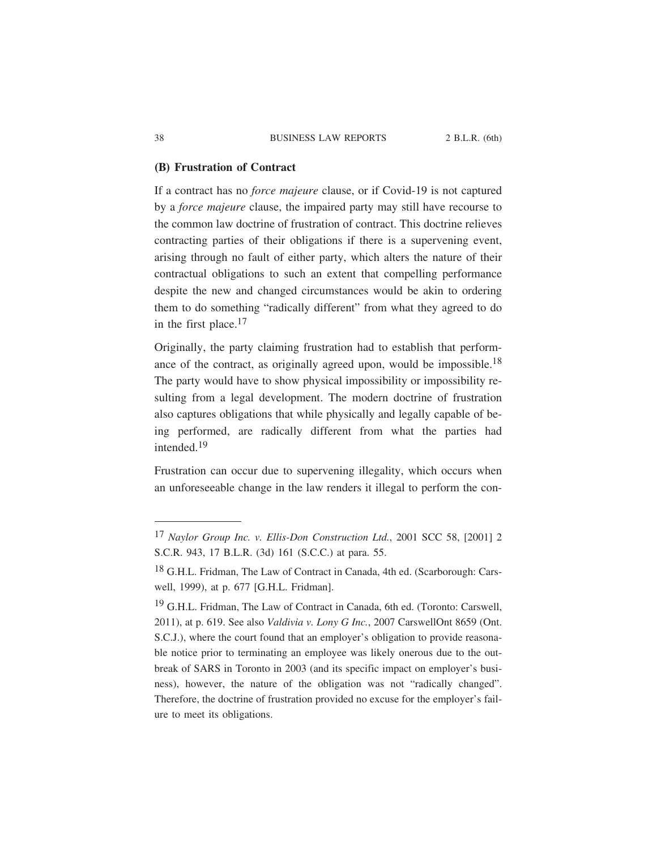### **(B) Frustration of Contract**

If a contract has no *force majeure* clause, or if Covid-19 is not captured by a *force majeure* clause, the impaired party may still have recourse to the common law doctrine of frustration of contract. This doctrine relieves contracting parties of their obligations if there is a supervening event, arising through no fault of either party, which alters the nature of their contractual obligations to such an extent that compelling performance despite the new and changed circumstances would be akin to ordering them to do something "radically different" from what they agreed to do in the first place.<sup>17</sup>

Originally, the party claiming frustration had to establish that performance of the contract, as originally agreed upon, would be impossible.<sup>18</sup> The party would have to show physical impossibility or impossibility resulting from a legal development. The modern doctrine of frustration also captures obligations that while physically and legally capable of being performed, are radically different from what the parties had intended.19

Frustration can occur due to supervening illegality, which occurs when an unforeseeable change in the law renders it illegal to perform the con-

<sup>17</sup> *Naylor Group Inc. v. Ellis-Don Construction Ltd.*, 2001 SCC 58, [2001] 2 S.C.R. 943, 17 B.L.R. (3d) 161 (S.C.C.) at para. 55.

<sup>18</sup> G.H.L. Fridman, The Law of Contract in Canada, 4th ed. (Scarborough: Carswell, 1999), at p. 677 [G.H.L. Fridman].

<sup>&</sup>lt;sup>19</sup> G.H.L. Fridman, The Law of Contract in Canada, 6th ed. (Toronto: Carswell, 2011), at p. 619. See also *Valdivia v. Lony G Inc.*, 2007 CarswellOnt 8659 (Ont. S.C.J.), where the court found that an employer's obligation to provide reasonable notice prior to terminating an employee was likely onerous due to the outbreak of SARS in Toronto in 2003 (and its specific impact on employer's business), however, the nature of the obligation was not "radically changed". Therefore, the doctrine of frustration provided no excuse for the employer's failure to meet its obligations.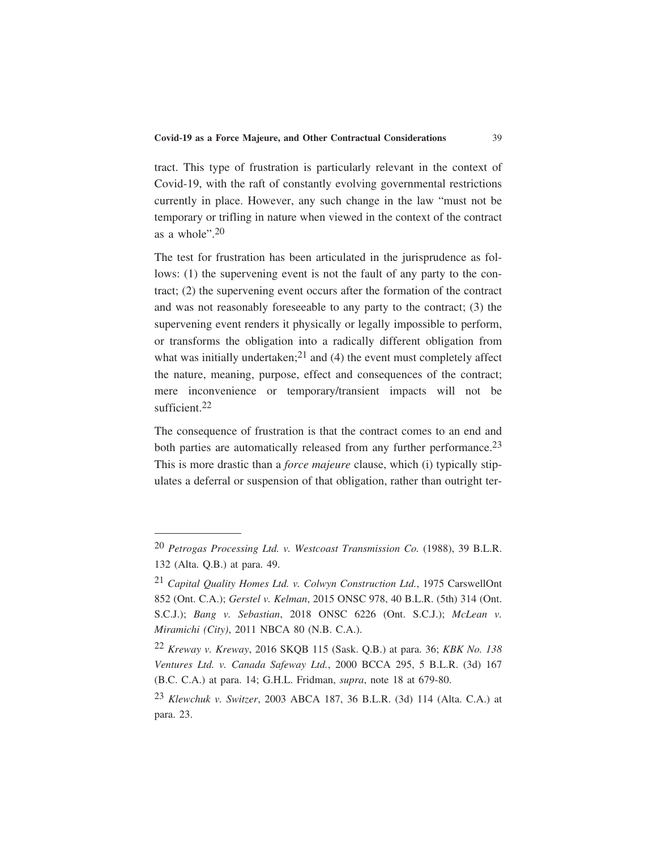tract. This type of frustration is particularly relevant in the context of Covid-19, with the raft of constantly evolving governmental restrictions currently in place. However, any such change in the law "must not be temporary or trifling in nature when viewed in the context of the contract as a whole".20

The test for frustration has been articulated in the jurisprudence as follows: (1) the supervening event is not the fault of any party to the contract; (2) the supervening event occurs after the formation of the contract and was not reasonably foreseeable to any party to the contract; (3) the supervening event renders it physically or legally impossible to perform, or transforms the obligation into a radically different obligation from what was initially undertaken;<sup>21</sup> and (4) the event must completely affect the nature, meaning, purpose, effect and consequences of the contract; mere inconvenience or temporary/transient impacts will not be sufficient.<sup>22</sup>

The consequence of frustration is that the contract comes to an end and both parties are automatically released from any further performance.<sup>23</sup> This is more drastic than a *force majeure* clause, which (i) typically stipulates a deferral or suspension of that obligation, rather than outright ter-

<sup>20</sup> *Petrogas Processing Ltd. v. Westcoast Transmission Co.* (1988), 39 B.L.R. 132 (Alta. Q.B.) at para. 49.

<sup>21</sup> *Capital Quality Homes Ltd. v. Colwyn Construction Ltd.*, 1975 CarswellOnt 852 (Ont. C.A.); *Gerstel v. Kelman*, 2015 ONSC 978, 40 B.L.R. (5th) 314 (Ont. S.C.J.); *Bang v. Sebastian*, 2018 ONSC 6226 (Ont. S.C.J.); *McLean v. Miramichi (City)*, 2011 NBCA 80 (N.B. C.A.).

<sup>22</sup> *Kreway v. Kreway*, 2016 SKQB 115 (Sask. Q.B.) at para. 36; *KBK No. 138 Ventures Ltd. v. Canada Safeway Ltd.*, 2000 BCCA 295, 5 B.L.R. (3d) 167 (B.C. C.A.) at para. 14; G.H.L. Fridman, *supra*, note 18 at 679-80.

<sup>23</sup> *Klewchuk v. Switzer*, 2003 ABCA 187, 36 B.L.R. (3d) 114 (Alta. C.A.) at para. 23.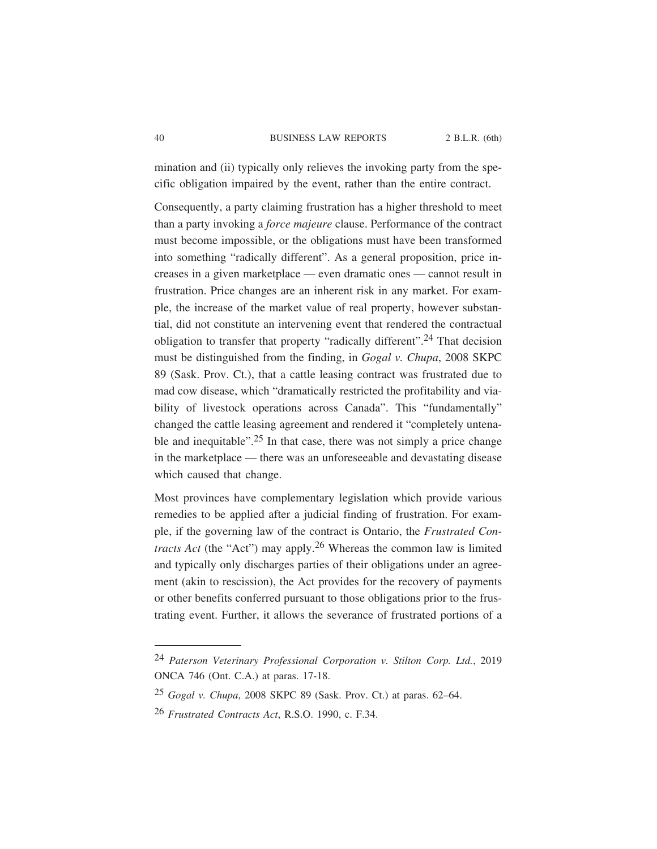mination and (ii) typically only relieves the invoking party from the specific obligation impaired by the event, rather than the entire contract.

Consequently, a party claiming frustration has a higher threshold to meet than a party invoking a *force majeure* clause. Performance of the contract must become impossible, or the obligations must have been transformed into something "radically different". As a general proposition, price increases in a given marketplace — even dramatic ones — cannot result in frustration. Price changes are an inherent risk in any market. For example, the increase of the market value of real property, however substantial, did not constitute an intervening event that rendered the contractual obligation to transfer that property "radically different".<sup>24</sup> That decision must be distinguished from the finding, in *Gogal v. Chupa*, 2008 SKPC 89 (Sask. Prov. Ct.), that a cattle leasing contract was frustrated due to mad cow disease, which "dramatically restricted the profitability and viability of livestock operations across Canada". This "fundamentally" changed the cattle leasing agreement and rendered it "completely untenable and inequitable".<sup>25</sup> In that case, there was not simply a price change in the marketplace — there was an unforeseeable and devastating disease which caused that change.

Most provinces have complementary legislation which provide various remedies to be applied after a judicial finding of frustration. For example, if the governing law of the contract is Ontario, the *Frustrated Contracts Act* (the "Act") may apply.26 Whereas the common law is limited and typically only discharges parties of their obligations under an agreement (akin to rescission), the Act provides for the recovery of payments or other benefits conferred pursuant to those obligations prior to the frustrating event. Further, it allows the severance of frustrated portions of a

<sup>24</sup> *Paterson Veterinary Professional Corporation v. Stilton Corp. Ltd.*, 2019 ONCA 746 (Ont. C.A.) at paras. 17-18.

<sup>25</sup> *Gogal v. Chupa*, 2008 SKPC 89 (Sask. Prov. Ct.) at paras. 62–64.

<sup>26</sup> *Frustrated Contracts Act*, R.S.O. 1990, c. F.34.